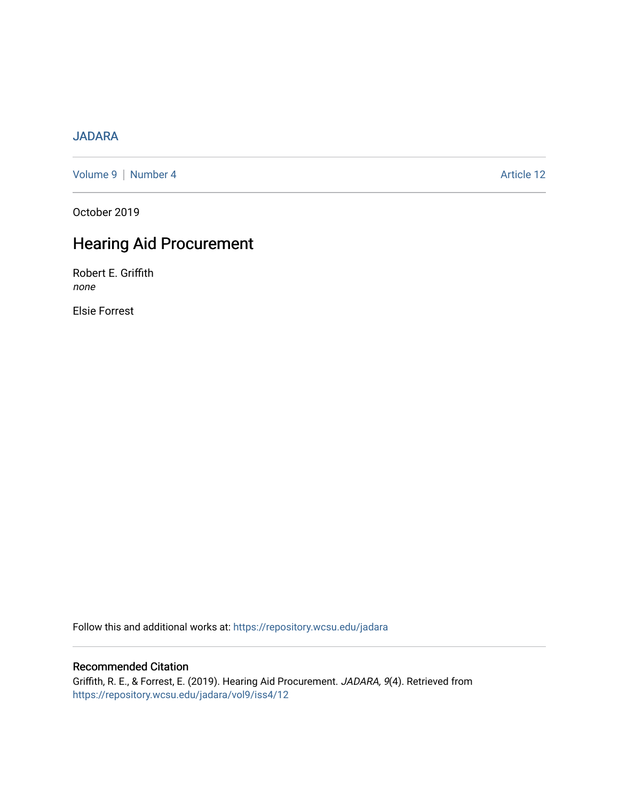## [JADARA](https://repository.wcsu.edu/jadara)

[Volume 9](https://repository.wcsu.edu/jadara/vol9) | [Number 4](https://repository.wcsu.edu/jadara/vol9/iss4) Article 12

October 2019

# Hearing Aid Procurement

Robert E. Griffith none

Elsie Forrest

Follow this and additional works at: [https://repository.wcsu.edu/jadara](https://repository.wcsu.edu/jadara?utm_source=repository.wcsu.edu%2Fjadara%2Fvol9%2Fiss4%2F12&utm_medium=PDF&utm_campaign=PDFCoverPages)

## Recommended Citation

Griffith, R. E., & Forrest, E. (2019). Hearing Aid Procurement. JADARA, 9(4). Retrieved from [https://repository.wcsu.edu/jadara/vol9/iss4/12](https://repository.wcsu.edu/jadara/vol9/iss4/12?utm_source=repository.wcsu.edu%2Fjadara%2Fvol9%2Fiss4%2F12&utm_medium=PDF&utm_campaign=PDFCoverPages)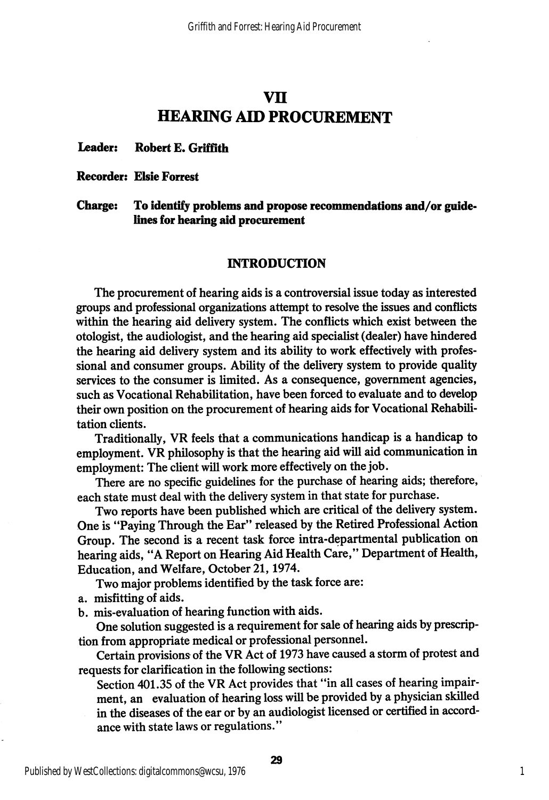## vn HEARING AID PROCUREMENT

#### Leader: Robert E. Griffith

#### Recorder: Elsie Forrest

#### Charge: To identify problems and propose recommendations and/or guidelines for hearing aid procurement

#### INTRODUCTION

The procurement of hearing aids is a controversial issue today as interested groups and professional organizations attempt to resolve the issues and conflicts within the hearing aid delivery system. The conflicts which exist between the otologist, the audiologist, and the hearing aid specialist (dealer) have hindered the hearing aid delivery system and its ability to work effectively with profes sional and consumer groups. Ability of the delivery system to provide quality services to the consumer is limited. As a consequence, government agencies, such as Vocational Rehabilitation, have been forced to evaluate and to develop their own position on the procurement of hearing aids for Vocational Rehabili tation clients.

Traditionally, VR feels that a communications handicap is a handicap to employment. VR philosophy is that the hearing aid will aid communication in employment: The client will work more effectively on the job.

There are no specific guidelines for the purchase of hearing aids; therefore, each state must deal with the delivery system in that state for purchase.

Two reports have been published which are critical of the delivery system. One is "Paying Through the Ear" released by the Retired Professional Action Group. The second is a recent task force intra-departmental publication on hearing aids, "A Report on Hearing Aid Health Care," Department of Health, Education, and Welfare, October 21,1974.

Two major problems identified by the task force are:

a. misfitting of aids.

b. mis-evaluation of hearing function with aids.

One solution suggested is a requirement for sale of hearing aids by prescrip tion from appropriate medical or professional personnel.

Certain provisions of the VR Act of 1973 have caused a storm of protest and requests for clarification in the following sections:

Section 401.35 of the VR Act provides that "in all cases of hearing impair ment, an evaluation of hearing loss will be provided by a physician skilled in the diseases of the ear or by an audiologist licensed or certified in accord ance with state laws or regulations."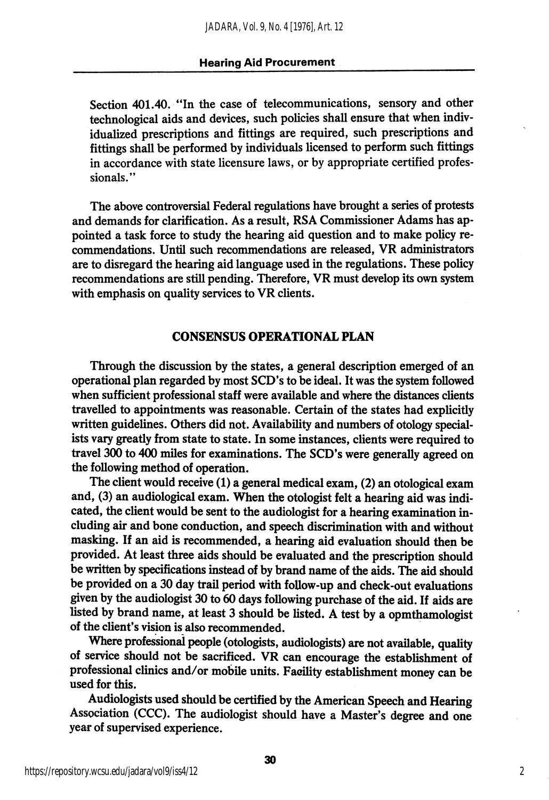Section 401.40. "In the case of telecommunications, sensory and other technological aids and devices, such policies shall ensure that when indiv idualized prescriptions and fittings are required, such prescriptions and fittings shall be performed by individuals licensed to perform such fittings in accordance with state licensure laws, or by appropriate certified profes sionals."

The above controversial Federal regulations have brought a series of protests and demands for clarification. As a result, RSA Commissioner Adams has ap pointed a task force to study the hearing aid question and to make policy re commendations. Until such recommendations are released, VR administrators are to disregard the hearing aid language used in the regulations. These policy recommendations are still pending. Therefore, VR must develop its own system with emphasis on quality services to VR clients.

#### CONSENSUS OPERATIONAL PLAN

Through the discussion by the states, a general description emerged of an operational plan regarded by most SCD's to be ideal. It was the system followed when sufficient professional staff were available and where the distances clients travelled to appointments was reasonable. Certain of the states had explicitly written guidelines. Others did not. Availability and numbers of otology special ists vary greatly from state to state. In some instances, clients were required to travel 300 to 400 miles for examinations. The SCD's were generally agreed on the following method of operation.

The client would receive (1) a general medical exam, (2) an otological exam and, (3) an audiological exam. When the otologist felt a hearing aid was indi cated, the client would be sent to the audiologist for a hearing examination in cluding air and bone conduction, and speech discrimination with and without masking. If an aid is recommended, a hearing aid evaluation should then be provided. At least three aids should be evaluated and the prescription should be written by specifications instead of by brand name of the aids. The aid should be provided on a 30 day trail period with follow-up and check-out evaluations given by the audiologist 30 to 60 days following purchase of the aid. If aids are listed by brand name, at least 3 should be listed. A test by a opmthamologist of the client's vision is also recommended.

Where professional people (otologists, audiologists) are not available, quality of service should not be sacrificed. VR can encourage the establishment of professional clinics and/or mobile units. Facility establishment money can be used for this.

Audiologists used should be certified by the American Speech and Hearing Association (CCC). The audiologist should have a Master's degree and one year of supervised experience.

2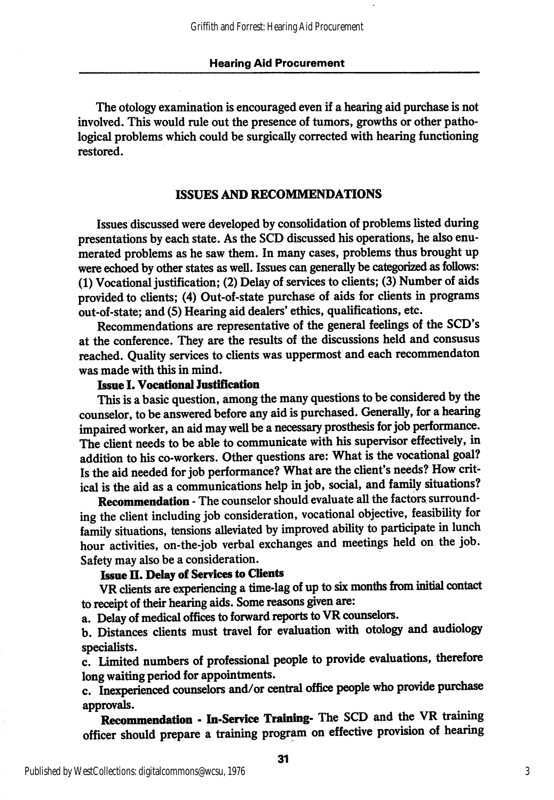The otology examination is encouraged even if a hearing aid purchase is not involved. This would rule out the presence of tumors, growths or other patho logical problems which could be surgically corrected with hearing functioning restored.

#### ISSUES AND RECOMMENDATIONS

Issues discussed were developed by consolidation of problems listed during presentations by each state. As the SCD discussed his operations, he also enu merated problems as he saw them. In many cases, problems thus brought up were echoed by other states as well. Issues can generally be categorized as follows: (1) Vocational justification; (2) Delay of services to clients; (3) Number of aids provided to clients; (4) Out-of-state purchase of aids for clients in programs out-of-state; and (5) Hearing aid dealers' ethics, qualifications, etc.

Recommendations are representative of the general feelings of the SCD's at the conference. They are the results of the discussions held and consusus reached. Quality services to clients was uppermost and each recommendaton was made with this in mind.

### Issue I. Vocattonal lustification

This is a basic question, among the many questions to be considered by the counselor, to be answered before any aid is purchased. Generally, for a hearing impaired worker, an aid may well be a necessary prosthesis for job performance. The client needs to be able to communicate with his supervisor effectively, in addition to his co-workers. Other questions are: What is the vocational goal? Is the aid needed for job performance? What are the client's needs? How crit ical is the aid as a communications help in job, social, and family situations?

Recommendation - The counselor should evaluate all the factors surrounding the client including job consideration, vocational objective, feasibility for family situations, tensions alleviated by improved ability to participate in lunch hour activities, on-the-job verbal exchanges and meetings held on the job. Safety may also be a consideration.

## Issue II. Delay of Services to Clients

VR clients are experiencing a time-lag of up to six mondis from initial contact to receipt of their hearing aids. Some reasons given are:

a. Delay of medical offices to forward reports to VR counselors.

b. Distances clients must travel for evaluation with otology and audiology specialists.

c. limited numbers of professional people to provide evaluations, therefore long waiting period for appointments.

c. Inexperienced counselors and/or central office people who provide purchase approvals.

Recommendation - In-Service Training- The SCD and the VR training officer should prepare a training program on effective provision of hearing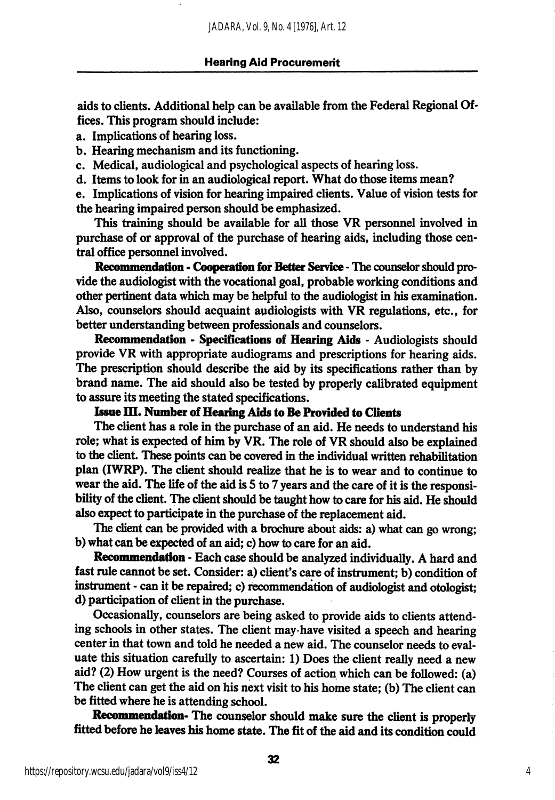aids to clients. Additional help can be available from the Federal Regional Of fices. This program should include:

- a. Implications of hearing loss.
- b. Hearing mechanism and its functioning.
- c. Medical, audiological and psychological aspects of hearing loss.
- d. Items to look for in an audiological report. What do those items mean?

e. Implications of vision for hearing impaired clients. Value of vision tests for the hearing impaired person should be emphasized.

This training should be available for all those VR personnel involved in purchase of or approval of the purchase of hearing aids, including those cen tral office personnel involved.

Recommendation - Cooperation for Better Service - The counselor should provide the audiologist with the vocational goal, probable working conditions and other pertinent data which may be helpful to the audiologist in his examination. Also, counselors should acquaint audiologists with VR regulations, etc., for better understanding between professionals and counselors.

Recommendation - Specifications of Hearing Aids - Audiologists should provide VR with appropriate audiograms and prescriptions for hearing aids. The prescription should describe the aid by its specifications rather than by brand name. The aid should also be tested by properly calibrated equipment to assure its meeting the stated specifications.

## Issue III. Number of Hearing Aids to Be Provided to Clients

The client has a role in the purchase of an aid. He needs to understand his role; what is expected of him by VR. The role of VR should also be explained to the client. These points can be covered in the individual written rehabilitation plan (IWRP). The client should realize that he is to wear and to continue to wear the aid. The life of the aid is S to 7 years and the care of it is the responsi bility of the client. The client should be taught how to care for his aid. He should also expect to participate in the purchase of the replacement aid.

The client can be provided with a brochure about aids: a) what can go wrong; b) what can be expected of an aid; c) how to care for an aid.

Recommendation - Each case should be analyzed individually. A hard and fast rule cannot be set. Consider: a) client's care of instrument; b) condition of instrument - can it be repaired; c) recommendation of audiologist and otologist; d) participation of client in the purchase.

Occasionally, counselors are being asked to provide aids to clients attend ing schools in other states. The client may-have visited a speech and hearing center in that town and told he needed a new aid. The counselor needs to eval uate this situation carefully to ascertain: 1) Does the client really need a new aid? (2) How urgent is the need? Courses of action which can be followed: (a) The client can get the aid on his next visit to his home state; (b) The client can be fitted where he is attending school.

Recommendation- The counselor should make sure the client is properly fitted before he leaves his home state. The fit of the aid and its condition could

4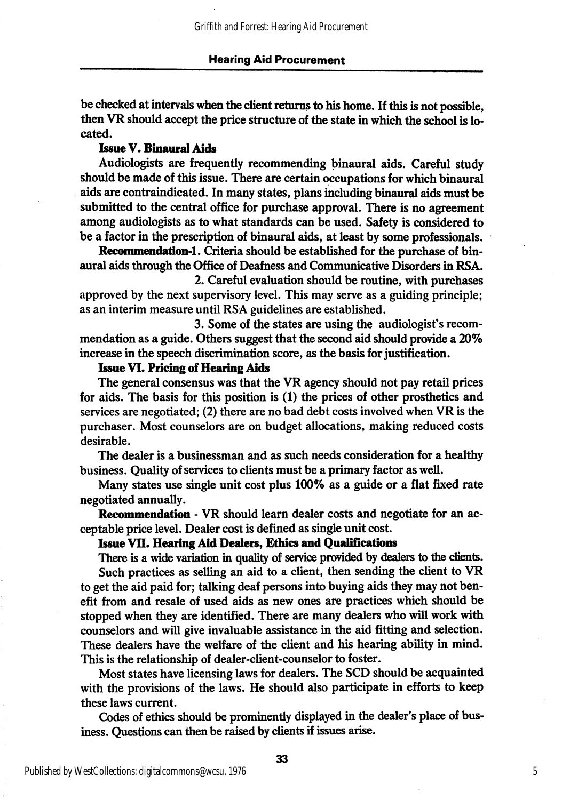be checked at intervals when the client returns to his home. If Ihis is not possible, then VR should accept the price structure of the state in which the school is lo cated.

#### Issue V. Binanral Aids

Audiologists are frequently recommending binaural aids. Careful study should be made of this issue. There are certain occupations for which binaurd aids are contraindicated. In many states, plans including binaural aids must be submitted to the central office for purchase approval. There is no agreement among audiologists as to what standards can be used. Safety is considered to be a factor in the prescription of binaural aids, at least by some professionals.

Recommendation-1. Criteria should be established for the purchase of binaural aids through the Office of Deafness and Communicative Disorders in RSA.

2. Careful evaluation should be routine, with purchases approved by the next supervisory level. This may serve as a guiding principle; as an interim measure until RSA guidelines are established.

3. Some of the states are using the audiologist's recom mendation as a guide. Others suggest that the second aid should provide a 20% increase in the speech discrimination score, as the basis for justification.

#### Issue VI. Pricing of Hearing Aids

The general consensus was that the VR agency should not pay retail prices for aids. The basis for this position is (1) the prices of other prosthetics and services are negotiated; (2) there are no bad debt costs involved when VR is the purchaser. Most counselors are on budget allocations, making reduced costs desirable.

The dealer is a businessman and as such needs consideration for a healthy business. Quality of services to clients must be a primary factor as well.

Many states use single unit cost plus 100% as a guide or a flat fixed rate negotiated annually.

Recommendation - VR should leam dealer costs and negotiate for an ac ceptable price level. Dealer cost is defined as single unit cost.

#### Issue VII. Hearing Aid Dealers, Ethics and Qualifications

There is a wide variation in quality of service provided by dealers to the clients. Such practices as selling an aid to a client, then sending the client to VR to get the aid paid for; talking deaf persons into buying aids they may not ben efit from and resale of used aids as new ones are practices which should be stopped when they are identified. There are many dealers who will work with counselors and will give invaluable assistance in the aid fitting and selection. These dealers have the welfare of the client and his hearing ability in mind. This is the relationship of dealer-client-counselor to foster.

Most states have licensing laws for dealers. The SCD should be acquainted with the provisions of the laws. He should also participate in efforts to keep these laws current.

Codes of ethics should be prominently displayed in the dealer's place of bus iness. Questions can then be raised by clients if issues arise.